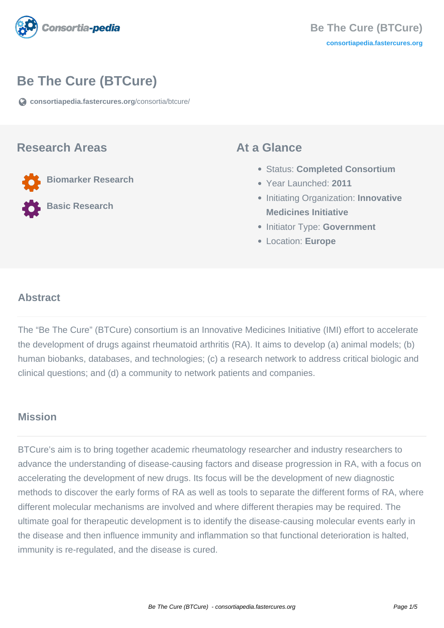

# **Be The Cure (BTCure)**

**[consortiapedia.fastercures.org](https://consortiapedia.fastercures.org/consortia/btcure/)**[/consortia/btcure/](https://consortiapedia.fastercures.org/consortia/btcure/)

#### **Research Areas**

**Biomarker Research**

**Basic Research**

#### **At a Glance**

- Status: **Completed Consortium**
- Year Launched: **2011**
- **Initiating Organization: Innovative Medicines Initiative**
- **Initiator Type: Government**
- Location: **Europe**

#### $\overline{a}$ **Abstract**

The "Be The Cure" (BTCure) consortium is an Innovative Medicines Initiative (IMI) effort to accelerate the development of drugs against rheumatoid arthritis (RA). It aims to develop (a) animal models; (b) human biobanks, databases, and technologies; (c) a research network to address critical biologic and clinical questions; and (d) a community to network patients and companies.

## **Mission**

BTCure's aim is to bring together academic rheumatology researcher and industry researchers to advance the understanding of disease-causing factors and disease progression in RA, with a focus on accelerating the development of new drugs. Its focus will be the development of new diagnostic methods to discover the early forms of RA as well as tools to separate the different forms of RA, where different molecular mechanisms are involved and where different therapies may be required. The ultimate goal for therapeutic development is to identify the disease-causing molecular events early in the disease and then influence immunity and inflammation so that functional deterioration is halted, immunity is re-regulated, and the disease is cured.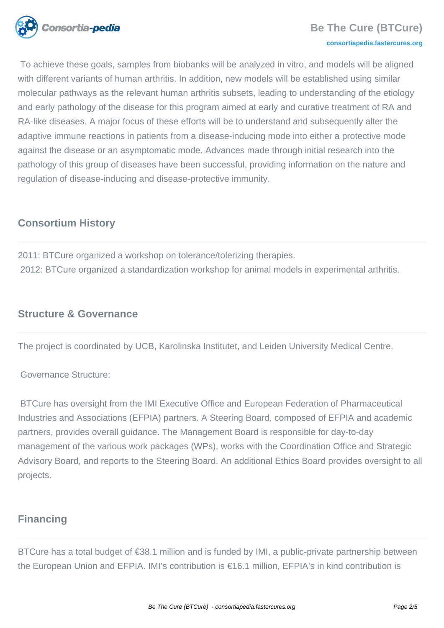

### **Be The Cure (BTCure)**

#### **[consortiapedia.fastercures.org](http://consortiapedia.fastercures.org/)**

 To achieve these goals, samples from biobanks will be analyzed in vitro, and models will be aligned with different variants of human arthritis. In addition, new models will be established using similar molecular pathways as the relevant human arthritis subsets, leading to understanding of the etiology and early pathology of the disease for this program aimed at early and curative treatment of RA and RA-like diseases. A major focus of these efforts will be to understand and subsequently alter the adaptive immune reactions in patients from a disease-inducing mode into either a protective mode against the disease or an asymptomatic mode. Advances made through initial research into the pathology of this group of diseases have been successful, providing information on the nature and regulation of disease-inducing and disease-protective immunity.

## **Consortium History**

2011: BTCure organized a workshop on tolerance/tolerizing therapies. 2012: BTCure organized a standardization workshop for animal models in experimental arthritis.

## **Structure & Governance**

The project is coordinated by UCB, Karolinska Institutet, and Leiden University Medical Centre.

Governance Structure:

 BTCure has oversight from the IMI Executive Office and European Federation of Pharmaceutical Industries and Associations (EFPIA) partners. A Steering Board, composed of EFPIA and academic partners, provides overall guidance. The Management Board is responsible for day-to-day management of the various work packages (WPs), works with the Coordination Office and Strategic Advisory Board, and reports to the Steering Board. An additional Ethics Board provides oversight to all projects.

## **Financing**

BTCure has a total budget of €38.1 million and is funded by IMI, a public-private partnership between the European Union and EFPIA. IMI's contribution is €16.1 million, EFPIA's in kind contribution is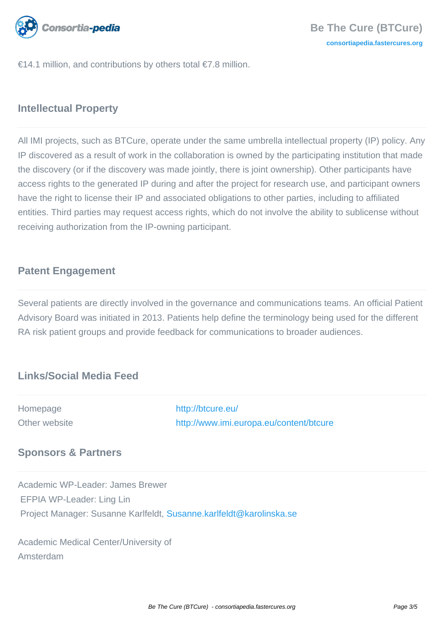

€14.1 million, and contributions by others total €7.8 million.

# **Intellectual Property**

All IMI projects, such as BTCure, operate under the same umbrella intellectual property (IP) policy. Any IP discovered as a result of work in the collaboration is owned by the participating institution that made the discovery (or if the discovery was made jointly, there is joint ownership). Other participants have access rights to the generated IP during and after the project for research use, and participant owners have the right to license their IP and associated obligations to other parties, including to affiliated entities. Third parties may request access rights, which do not involve the ability to sublicense without receiving authorization from the IP-owning participant.

# **Patent Engagement**

Several patients are directly involved in the governance and communications teams. An official Patient Advisory Board was initiated in 2013. Patients help define the terminology being used for the different RA risk patient groups and provide feedback for communications to broader audiences.

# **Links/Social Media Feed**

| Homepage      | http://btcure.eu/                       |
|---------------|-----------------------------------------|
| Other website | http://www.imi.europa.eu/content/btcure |
|               |                                         |

# **Sponsors & Partners**

Academic WP-Leader: James Brewer EFPIA WP-Leader: Ling Lin Project Manager: Susanne Karlfeldt, [Susanne.karlfeldt@karolinska.se](mailto:Susanne.karlfeldt@karolinska.se)

Academic Medical Center/University of Amsterdam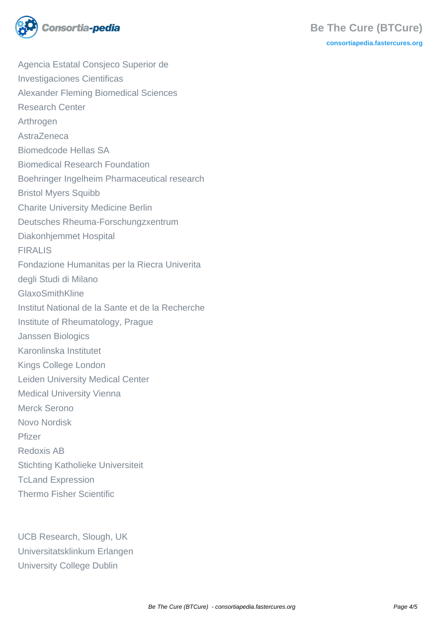

Agencia Estatal Consjeco Superior de Investigaciones Cientificas Alexander Fleming Biomedical Sciences Research Center Arthrogen AstraZeneca Biomedcode Hellas SA Biomedical Research Foundation Boehringer Ingelheim Pharmaceutical research Bristol Myers Squibb Charite University Medicine Berlin Deutsches Rheuma-Forschungzxentrum Diakonhjemmet Hospital FIRALIS Fondazione Humanitas per la Riecra Univerita degli Studi di Milano GlaxoSmithKline Institut National de la Sante et de la Recherche Institute of Rheumatology, Prague Janssen Biologics Karonlinska Institutet Kings College London Leiden University Medical Center Medical University Vienna Merck Serono Novo Nordisk Pfizer Redoxis AB Stichting Katholieke Universiteit TcLand Expression Thermo Fisher Scientific

UCB Research, Slough, UK Universitatsklinkum Erlangen University College Dublin